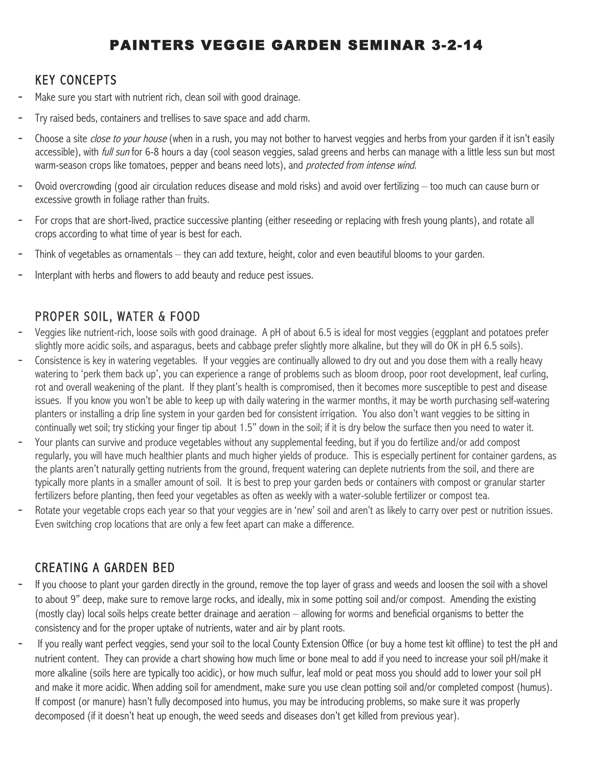# PAINTERS VEGGIE GARDEN SEMINAR 3-2-14

#### KEY CONCEPTS

- Make sure you start with nutrient rich, clean soil with good drainage.
- Try raised beds, containers and trellises to save space and add charm.
- Choose a site close to your house (when in a rush, you may not bother to harvest veggies and herbs from your garden if it isn't easily accessible), with full sun for 6-8 hours a day (cool season veggies, salad greens and herbs can manage with a little less sun but most warm-season crops like tomatoes, pepper and beans need lots), and *protected from intense wind*.
- Ovoid overcrowding (good air circulation reduces disease and mold risks) and avoid over fertilizing  $-$  too much can cause burn or excessive growth in foliage rather than fruits.
- For crops that are short-lived, practice successive planting (either reseeding or replacing with fresh young plants), and rotate all crops according to what time of year is best for each.
- Think of vegetables as ornamentals they can add texture, height, color and even beautiful blooms to your garden.
- Interplant with herbs and flowers to add beauty and reduce pest issues.

#### PROPER SOIL, WATER & FOOD

- Veggies like nutrient-rich, loose soils with good drainage. A pH of about 6.5 is ideal for most veggies (eggplant and potatoes prefer slightly more acidic soils, and asparagus, beets and cabbage prefer slightly more alkaline, but they will do OK in pH 6.5 soils).
- Consistence is key in watering vegetables. If your veggies are continually allowed to dry out and you dose them with a really heavy watering to 'perk them back up', you can experience a range of problems such as bloom droop, poor root development, leaf curling, rot and overall weakening of the plant. If they plant's health is compromised, then it becomes more susceptible to pest and disease issues. If you know you won't be able to keep up with daily watering in the warmer months, it may be worth purchasing self-watering planters or installing a drip line system in your garden bed for consistent irrigation. You also don't want veggies to be sitting in continually wet soil; try sticking your finger tip about 1.5" down in the soil; if it is dry below the surface then you need to water it.
- Your plants can survive and produce vegetables without any supplemental feeding, but if you do fertilize and/or add compost regularly, you will have much healthier plants and much higher yields of produce. This is especially pertinent for container gardens, as the plants aren't naturally getting nutrients from the ground, frequent watering can deplete nutrients from the soil, and there are typically more plants in a smaller amount of soil. It is best to prep your garden beds or containers with compost or granular starter fertilizers before planting, then feed your vegetables as often as weekly with a water-soluble fertilizer or compost tea.
- Rotate your vegetable crops each year so that your veggies are in 'new' soil and aren't as likely to carry over pest or nutrition issues. Even switching crop locations that are only a few feet apart can make a difference.

#### CREATING A GARDEN BED

- If you choose to plant your garden directly in the ground, remove the top layer of grass and weeds and loosen the soil with a shovel to about 9" deep, make sure to remove large rocks, and ideally, mix in some potting soil and/or compost. Amending the existing (mostly clay) local soils helps create better drainage and aeration – allowing for worms and beneficial organisms to better the consistency and for the proper uptake of nutrients, water and air by plant roots.
- If you really want perfect veggies, send your soil to the local County Extension Office (or buy a home test kit offline) to test the pH and nutrient content. They can provide a chart showing how much lime or bone meal to add if you need to increase your soil pH/make it more alkaline (soils here are typically too acidic), or how much sulfur, leaf mold or peat moss you should add to lower your soil pH and make it more acidic. When adding soil for amendment, make sure you use clean potting soil and/or completed compost (humus). If compost (or manure) hasn't fully decomposed into humus, you may be introducing problems, so make sure it was properly decomposed (if it doesn't heat up enough, the weed seeds and diseases don't get killed from previous year).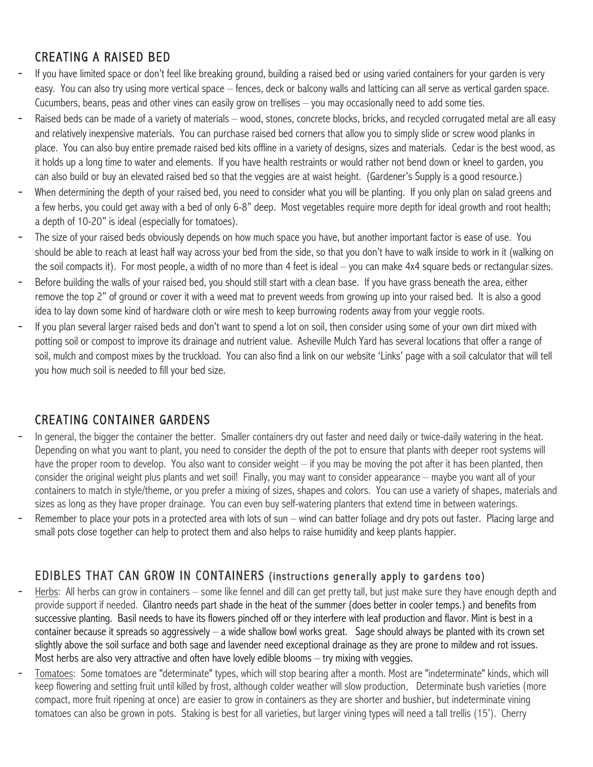# CREATING A RAISED BED

- If you have limited space or don't feel like breaking ground, building a raised bed or using varied containers for your garden is very easy. You can also try using more vertical space – fences, deck or balcony walls and latticing can all serve as vertical garden space. Cucumbers, beans, peas and other vines can easily grow on trellises – you may occasionally need to add some ties.
- Raised beds can be made of a variety of materials wood, stones, concrete blocks, bricks, and recycled corrugated metal are all easy and relatively inexpensive materials. You can purchase raised bed corners that allow you to simply slide or screw wood planks in place. You can also buy entire premade raised bed kits offline in a variety of designs, sizes and materials. Cedar is the best wood, as it holds up a long time to water and elements. If you have health restraints or would rather not bend down or kneel to garden, you can also build or buy an elevated raised bed so that the veggies are at waist height. (Gardener's Supply is a good resource.)
- When determining the depth of your raised bed, you need to consider what you will be planting. If you only plan on salad greens and a few herbs, you could get away with a bed of only 6-8" deep. Most vegetables require more depth for ideal growth and root health; a depth of 10-20" is ideal (especially for tomatoes).
- The size of your raised beds obviously depends on how much space you have, but another important factor is ease of use. You should be able to reach at least half way across your bed from the side, so that you don't have to walk inside to work in it (walking on the soil compacts it). For most people, a width of no more than 4 feet is ideal – you can make 4x4 square beds or rectangular sizes.
- Before building the walls of your raised bed, you should still start with a clean base. If you have grass beneath the area, either remove the top 2" of ground or cover it with a weed mat to prevent weeds from growing up into your raised bed. It is also a good idea to lay down some kind of hardware cloth or wire mesh to keep burrowing rodents away from your veggie roots.
- If you plan several larger raised beds and don't want to spend a lot on soil, then consider using some of your own dirt mixed with potting soil or compost to improve its drainage and nutrient value. Asheville Mulch Yard has several locations that offer a range of soil, mulch and compost mixes by the truckload. You can also find a link on our website 'Links' page with a soil calculator that will tell you how much soil is needed to fill your bed size.

## CREATING CONTAINER GARDENS

- In general, the bigger the container the better. Smaller containers dry out faster and need daily or twice-daily watering in the heat. Depending on what you want to plant, you need to consider the depth of the pot to ensure that plants with deeper root systems will have the proper room to develop. You also want to consider weight – if you may be moving the pot after it has been planted, then consider the original weight plus plants and wet soil! Finally, you may want to consider appearance – maybe you want all of your containers to match in style/theme, or you prefer a mixing of sizes, shapes and colors. You can use a variety of shapes, materials and sizes as long as they have proper drainage. You can even buy self-watering planters that extend time in between waterings.
- Remember to place your pots in a protected area with lots of sun wind can batter foliage and dry pots out faster. Placing large and small pots close together can help to protect them and also helps to raise humidity and keep plants happier.

#### EDIBLES THAT CAN GROW IN CONTAINERS (instructions generally apply to gardens too)

- Herbs: All herbs can grow in containers some like fennel and dill can get pretty tall, but just make sure they have enough depth and provide support if needed. Cilantro needs part shade in the heat of the summer (does better in cooler temps.) and benefits from successive planting. Basil needs to have its flowers pinched off or they interfere with leaf production and flavor. Mint is best in a container because it spreads so aggressively – a wide shallow bowl works great. Sage should always be planted with its crown set slightly above the soil surface and both sage and lavender need exceptional drainage as they are prone to mildew and rot issues. Most herbs are also very attractive and often have lovely edible blooms – try mixing with veggies.
- Tomatoes: Some tomatoes are "determinate" types, which will stop bearing after a month. Most are "indeterminate" kinds, which will keep flowering and setting fruit until killed by frost, although colder weather will slow production. Determinate bush varieties (more compact, more fruit ripening at once) are easier to grow in containers as they are shorter and bushier, but indeterminate vining tomatoes can also be grown in pots. Staking is best for all varieties, but larger vining types will need a tall trellis (15'). Cherry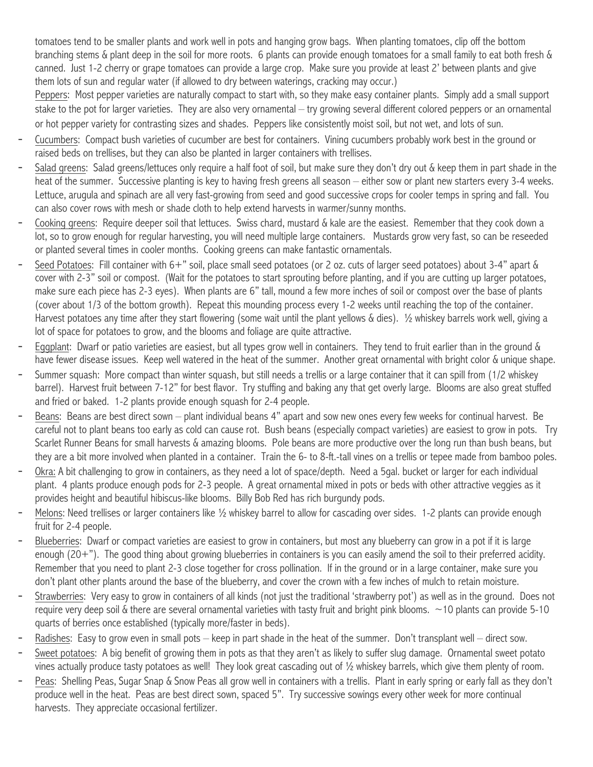tomatoes tend to be smaller plants and work well in pots and hanging grow bags. When planting tomatoes, clip off the bottom branching stems & plant deep in the soil for more roots. 6 plants can provide enough tomatoes for a small family to eat both fresh & canned. Just 1-2 cherry or grape tomatoes can provide a large crop. Make sure you provide at least 2' between plants and give them lots of sun and regular water (if allowed to dry between waterings, cracking may occur.)

Peppers: Most pepper varieties are naturally compact to start with, so they make easy container plants. Simply add a small support stake to the pot for larger varieties. They are also very ornamental – try growing several different colored peppers or an ornamental or hot pepper variety for contrasting sizes and shades. Peppers like consistently moist soil, but not wet, and lots of sun.

- Cucumbers: Compact bush varieties of cucumber are best for containers. Vining cucumbers probably work best in the ground or raised beds on trellises, but they can also be planted in larger containers with trellises.
- Salad greens: Salad greens/lettuces only require a half foot of soil, but make sure they don't dry out & keep them in part shade in the heat of the summer. Successive planting is key to having fresh greens all season – either sow or plant new starters every 3-4 weeks. Lettuce, arugula and spinach are all very fast-growing from seed and good successive crops for cooler temps in spring and fall. You can also cover rows with mesh or shade cloth to help extend harvests in warmer/sunny months.
- Cooking greens: Require deeper soil that lettuces. Swiss chard, mustard & kale are the easiest. Remember that they cook down a lot, so to grow enough for regular harvesting, you will need multiple large containers. Mustards grow very fast, so can be reseeded or planted several times in cooler months. Cooking greens can make fantastic ornamentals.
- Seed Potatoes: Fill container with 6+" soil, place small seed potatoes (or 2 oz. cuts of larger seed potatoes) about 3-4" apart & cover with 2-3" soil or compost. (Wait for the potatoes to start sprouting before planting, and if you are cutting up larger potatoes, make sure each piece has 2-3 eyes). When plants are 6" tall, mound a few more inches of soil or compost over the base of plants (cover about 1/3 of the bottom growth). Repeat this mounding process every 1-2 weeks until reaching the top of the container. Harvest potatoes any time after they start flowering (some wait until the plant yellows & dies). ½ whiskey barrels work well, giving a lot of space for potatoes to grow, and the blooms and foliage are quite attractive.
- Eggplant: Dwarf or patio varieties are easiest, but all types grow well in containers. They tend to fruit earlier than in the ground & have fewer disease issues. Keep well watered in the heat of the summer. Another great ornamental with bright color & unique shape.
- Summer squash: More compact than winter squash, but still needs a trellis or a large container that it can spill from (1/2 whiskey barrel). Harvest fruit between 7-12" for best flavor. Try stuffing and baking any that get overly large. Blooms are also great stuffed and fried or baked. 1-2 plants provide enough squash for 2-4 people.
- Beans: Beans are best direct sown plant individual beans 4" apart and sow new ones every few weeks for continual harvest. Be careful not to plant beans too early as cold can cause rot. Bush beans (especially compact varieties) are easiest to grow in pots. Try Scarlet Runner Beans for small harvests & amazing blooms. Pole beans are more productive over the long run than bush beans, but they are a bit more involved when planted in a container. Train the 6- to 8-ft.-tall vines on a trellis or tepee made from bamboo poles.
- Okra: A bit challenging to grow in containers, as they need a lot of space/depth. Need a 5gal. bucket or larger for each individual plant. 4 plants produce enough pods for 2-3 people. A great ornamental mixed in pots or beds with other attractive veggies as it provides height and beautiful hibiscus-like blooms. Billy Bob Red has rich burgundy pods.
- Melons: Need trellises or larger containers like 1/2 whiskey barrel to allow for cascading over sides. 1-2 plants can provide enough fruit for 2-4 people.
- Blueberries: Dwarf or compact varieties are easiest to grow in containers, but most any blueberry can grow in a pot if it is large enough (20+"). The good thing about growing blueberries in containers is you can easily amend the soil to their preferred acidity. Remember that you need to plant 2-3 close together for cross pollination. If in the ground or in a large container, make sure you don't plant other plants around the base of the blueberry, and cover the crown with a few inches of mulch to retain moisture.
- Strawberries: Very easy to grow in containers of all kinds (not just the traditional 'strawberry pot') as well as in the ground. Does not require very deep soil  $\&$  there are several ornamental varieties with tasty fruit and bright pink blooms.  $\sim$  10 plants can provide 5-10 quarts of berries once established (typically more/faster in beds).
- Radishes: Easy to grow even in small pots keep in part shade in the heat of the summer. Don't transplant well direct sow.
- Sweet potatoes: A big benefit of growing them in pots as that they aren't as likely to suffer slug damage. Ornamental sweet potato vines actually produce tasty potatoes as well! They look great cascading out of ½ whiskey barrels, which give them plenty of room.
- Peas: Shelling Peas, Sugar Snap & Snow Peas all grow well in containers with a trellis. Plant in early spring or early fall as they don't produce well in the heat. Peas are best direct sown, spaced 5". Try successive sowings every other week for more continual harvests. They appreciate occasional fertilizer.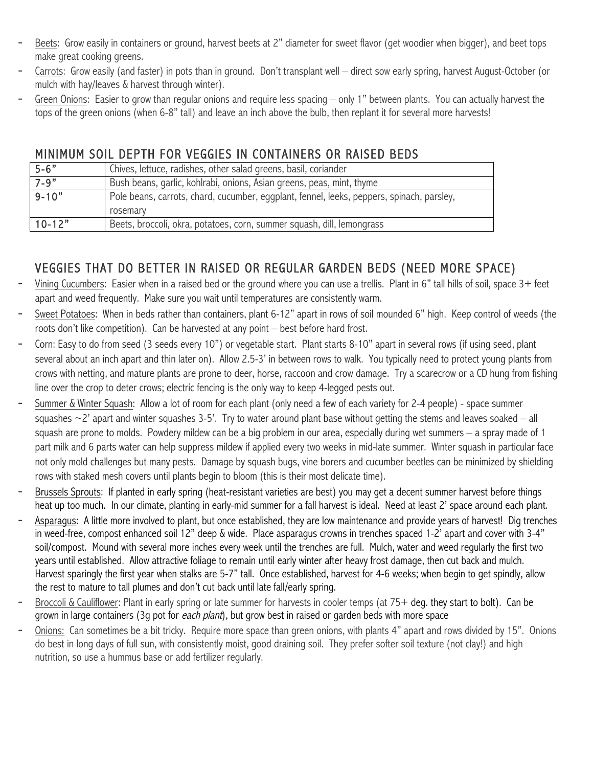- Beets: Grow easily in containers or ground, harvest beets at 2" diameter for sweet flavor (get woodier when bigger), and beet tops make great cooking greens.
- Carrots: Grow easily (and faster) in pots than in ground. Don't transplant well direct sow early spring, harvest August-October (or mulch with hay/leaves & harvest through winter).
- Green Onions: Easier to grow than regular onions and reguire less spacing only 1" between plants. You can actually harvest the tops of the green onions (when 6-8" tall) and leave an inch above the bulb, then replant it for several more harvests!

### MINIMUM SOIL DEPTH FOR VEGGIES IN CONTAINERS OR RAISED BEDS

| $5 - 6"$   | Chives, lettuce, radishes, other salad greens, basil, coriander                           |
|------------|-------------------------------------------------------------------------------------------|
| $7 - 9"$   | Bush beans, garlic, kohlrabi, onions, Asian greens, peas, mint, thyme                     |
| $9 - 10"$  | Pole beans, carrots, chard, cucumber, eggplant, fennel, leeks, peppers, spinach, parsley, |
|            | rosemary                                                                                  |
| $10 - 12"$ | Beets, broccoli, okra, potatoes, corn, summer squash, dill, lemongrass                    |

# VEGGIES THAT DO BETTER IN RAISED OR REGULAR GARDEN BEDS (NEED MORE SPACE)

- Vining Cucumbers: Easier when in a raised bed or the ground where you can use a trellis. Plant in 6" tall hills of soil, space 3+ feet apart and weed frequently. Make sure you wait until temperatures are consistently warm.
- Sweet Potatoes: When in beds rather than containers, plant 6-12" apart in rows of soil mounded 6" high. Keep control of weeds (the roots don't like competition). Can be harvested at any point – best before hard frost.
- Corn: Easy to do from seed (3 seeds every 10") or vegetable start. Plant starts 8-10" apart in several rows (if using seed, plant several about an inch apart and thin later on). Allow 2.5-3' in between rows to walk. You typically need to protect young plants from crows with netting, and mature plants are prone to deer, horse, raccoon and crow damage. Try a scarecrow or a CD hung from fishing line over the crop to deter crows; electric fencing is the only way to keep 4-legged pests out.
- Summer & Winter Squash: Allow a lot of room for each plant (only need a few of each variety for 2-4 people) space summer squashes  $\sim$ 2' apart and winter squashes 3-5'. Try to water around plant base without getting the stems and leaves soaked – all squash are prone to molds. Powdery mildew can be a big problem in our area, especially during wet summers – a spray made of 1 part milk and 6 parts water can help suppress mildew if applied every two weeks in mid-late summer. Winter squash in particular face not only mold challenges but many pests. Damage by squash bugs, vine borers and cucumber beetles can be minimized by shielding rows with staked mesh covers until plants begin to bloom (this is their most delicate time).
- Brussels Sprouts: If planted in early spring (heat-resistant varieties are best) you may get a decent summer harvest before things heat up too much. In our climate, planting in early-mid summer for a fall harvest is ideal. Need at least 2' space around each plant.
- Asparagus: A little more involved to plant, but once established, they are low maintenance and provide years of harvest! Dig trenches in weed-free, compost enhanced soil 12" deep & wide. Place asparagus crowns in trenches spaced 1-2' apart and cover with 3-4" soil/compost. Mound with several more inches every week until the trenches are full. Mulch, water and weed regularly the first two years until established. Allow attractive foliage to remain until early winter after heavy frost damage, then cut back and mulch. Harvest sparingly the first year when stalks are 5-7" tall. Once established, harvest for 4-6 weeks; when begin to get spindly, allow the rest to mature to tall plumes and don't cut back until late fall/early spring.
- Broccoli & Cauliflower: Plant in early spring or late summer for harvests in cooler temps (at 75+ deg. they start to bolt). Can be grown in large containers (3g pot for *each plant*), but grow best in raised or garden beds with more space
- Onions: Can sometimes be a bit tricky. Require more space than green onions, with plants 4" apart and rows divided by 15". Onions do best in long days of full sun, with consistently moist, good draining soil. They prefer softer soil texture (not clay!) and high nutrition, so use a hummus base or add fertilizer regularly.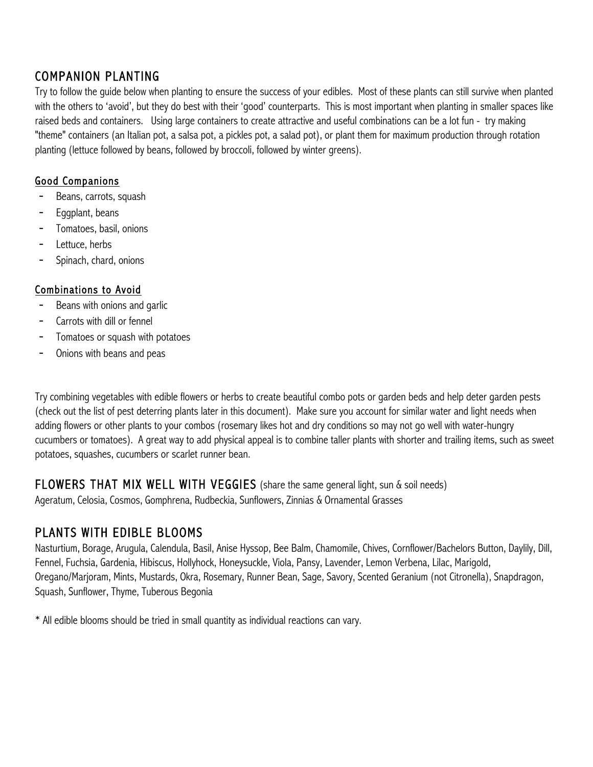## COMPANION PLANTING

Try to follow the guide below when planting to ensure the success of your edibles. Most of these plants can still survive when planted with the others to 'avoid', but they do best with their 'good' counterparts. This is most important when planting in smaller spaces like raised beds and containers. Using large containers to create attractive and useful combinations can be a lot fun - try making "theme" containers (an Italian pot, a salsa pot, a pickles pot, a salad pot), or plant them for maximum production through rotation planting (lettuce followed by beans, followed by broccoli, followed by winter greens).

#### Good Companions

- Beans, carrots, squash
- Eggplant, beans
- Tomatoes, basil, onions
- Lettuce, herbs
- Spinach, chard, onions

#### Combinations to Avoid

- Beans with onions and garlic
- Carrots with dill or fennel
- Tomatoes or squash with potatoes
- Onions with beans and peas

Try combining vegetables with edible flowers or herbs to create beautiful combo pots or garden beds and help deter garden pests (check out the list of pest deterring plants later in this document). Make sure you account for similar water and light needs when adding flowers or other plants to your combos (rosemary likes hot and dry conditions so may not go well with water-hungry cucumbers or tomatoes). A great way to add physical appeal is to combine taller plants with shorter and trailing items, such as sweet potatoes, squashes, cucumbers or scarlet runner bean.

FLOWERS THAT MIX WELL WITH VEGGIES (share the same general light, sun & soil needs) Ageratum, Celosia, Cosmos, Gomphrena, Rudbeckia, Sunflowers, Zinnias & Ornamental Grasses

## PLANTS WITH EDIBLE BLOOMS

Nasturtium, Borage, Arugula, Calendula, Basil, Anise Hyssop, Bee Balm, Chamomile, Chives, Cornflower/Bachelors Button, Daylily, Dill, Fennel, Fuchsia, Gardenia, Hibiscus, Hollyhock, Honeysuckle, Viola, Pansy, Lavender, Lemon Verbena, Lilac, Marigold, Oregano/Marjoram, Mints, Mustards, Okra, Rosemary, Runner Bean, Sage, Savory, Scented Geranium (not Citronella), Snapdragon, Squash, Sunflower, Thyme, Tuberous Begonia

\* All edible blooms should be tried in small quantity as individual reactions can vary.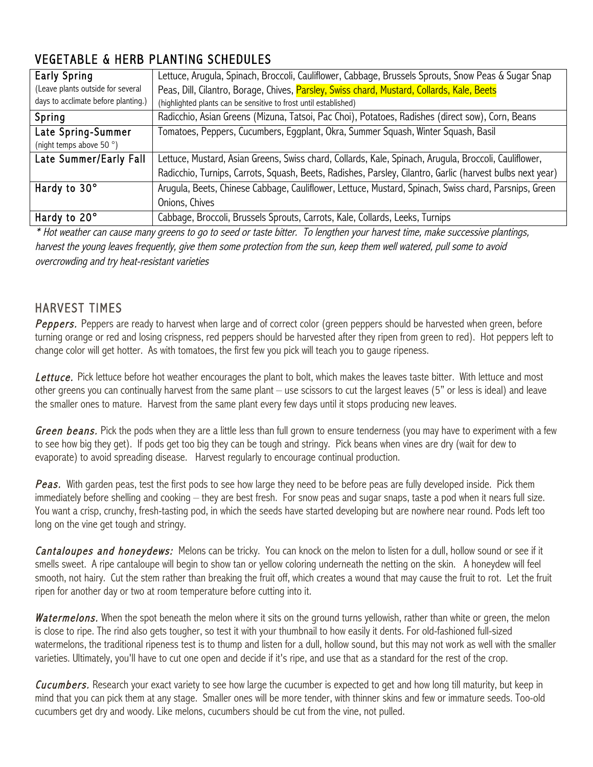# VEGETABLE & HERB PLANTING SCHEDULES

| <b>Early Spring</b>                 | Lettuce, Arugula, Spinach, Broccoli, Cauliflower, Cabbage, Brussels Sprouts, Snow Peas & Sugar Snap       |
|-------------------------------------|-----------------------------------------------------------------------------------------------------------|
| (Leave plants outside for several   | Peas, Dill, Cilantro, Borage, Chives, Parsley, Swiss chard, Mustard, Collards, Kale, Beets                |
| days to acclimate before planting.) | (highlighted plants can be sensitive to frost until established)                                          |
| Spring                              | Radicchio, Asian Greens (Mizuna, Tatsoi, Pac Choi), Potatoes, Radishes (direct sow), Corn, Beans          |
| Late Spring-Summer                  | Tomatoes, Peppers, Cucumbers, Eggplant, Okra, Summer Squash, Winter Squash, Basil                         |
| (night temps above 50°)             |                                                                                                           |
| Late Summer/Early Fall              | Lettuce, Mustard, Asian Greens, Swiss chard, Collards, Kale, Spinach, Arugula, Broccoli, Cauliflower,     |
|                                     | Radicchio, Turnips, Carrots, Squash, Beets, Radishes, Parsley, Cilantro, Garlic (harvest bulbs next year) |
| Hardy to 30°                        | Arugula, Beets, Chinese Cabbage, Cauliflower, Lettuce, Mustard, Spinach, Swiss chard, Parsnips, Green     |
|                                     | Onions, Chives                                                                                            |
| Hardy to 20°                        | Cabbage, Broccoli, Brussels Sprouts, Carrots, Kale, Collards, Leeks, Turnips                              |

\* Hot weather can cause many greens to go to seed or taste bitter. To lengthen your harvest time, make successive plantings, harvest the young leaves frequently, give them some protection from the sun, keep them well watered, pull some to avoid overcrowding and try heat-resistant varieties

#### HARVEST TIMES

Peppers. Peppers are ready to harvest when large and of correct color (green peppers should be harvested when green, before turning orange or red and losing crispness, red peppers should be harvested after they ripen from green to red). Hot peppers left to change color will get hotter. As with tomatoes, the first few you pick will teach you to gauge ripeness.

Lettuce. Pick lettuce before hot weather encourages the plant to bolt, which makes the leaves taste bitter. With lettuce and most other greens you can continually harvest from the same plant – use scissors to cut the largest leaves (5" or less is ideal) and leave the smaller ones to mature. Harvest from the same plant every few days until it stops producing new leaves.

Green beans. Pick the pods when they are a little less than full grown to ensure tenderness (you may have to experiment with a few to see how big they get). If pods get too big they can be tough and stringy. Pick beans when vines are dry (wait for dew to evaporate) to avoid spreading disease. Harvest regularly to encourage continual production.

Peas. With garden peas, test the first pods to see how large they need to be before peas are fully developed inside. Pick them immediately before shelling and cooking – they are best fresh. For snow peas and sugar snaps, taste a pod when it nears full size. You want a crisp, crunchy, fresh-tasting pod, in which the seeds have started developing but are nowhere near round. Pods left too long on the vine get tough and stringy.

Cantaloupes and honeydews: Melons can be tricky. You can knock on the melon to listen for a dull, hollow sound or see if it smells sweet. A ripe cantaloupe will begin to show tan or yellow coloring underneath the netting on the skin. A honeydew will feel smooth, not hairy. Cut the stem rather than breaking the fruit off, which creates a wound that may cause the fruit to rot. Let the fruit ripen for another day or two at room temperature before cutting into it.

Watermelons. When the spot beneath the melon where it sits on the ground turns yellowish, rather than white or green, the melon is close to ripe. The rind also gets tougher, so test it with your thumbnail to how easily it dents. For old-fashioned full-sized watermelons, the traditional ripeness test is to thump and listen for a dull, hollow sound, but this may not work as well with the smaller varieties. Ultimately, you'll have to cut one open and decide if it's ripe, and use that as a standard for the rest of the crop.

Cucumbers. Research your exact variety to see how large the cucumber is expected to get and how long till maturity, but keep in mind that you can pick them at any stage. Smaller ones will be more tender, with thinner skins and few or immature seeds. Too-old cucumbers get dry and woody. Like melons, cucumbers should be cut from the vine, not pulled.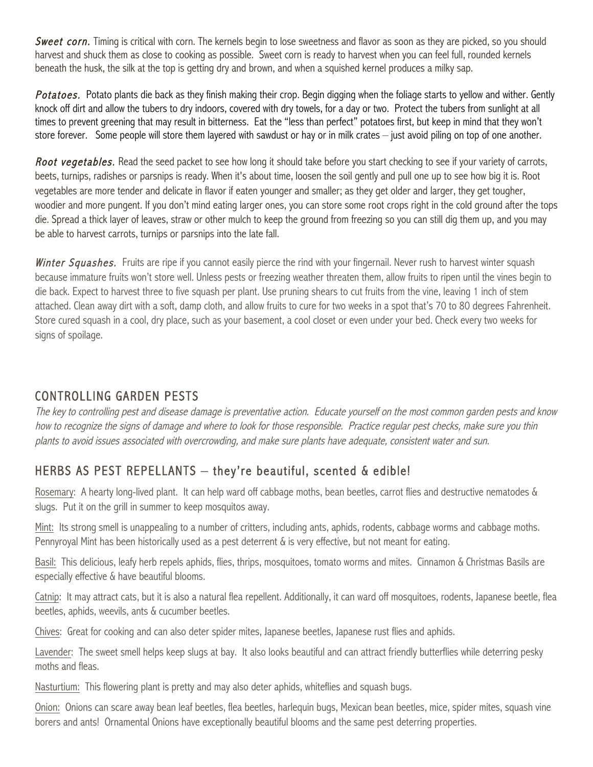Sweet corn. Timing is critical with corn. The kernels begin to lose sweetness and flavor as soon as they are picked, so you should harvest and shuck them as close to cooking as possible. Sweet corn is ready to harvest when you can feel full, rounded kernels beneath the husk, the silk at the top is getting dry and brown, and when a squished kernel produces a milky sap.

Potatoes. Potato plants die back as they finish making their crop. Begin digging when the foliage starts to yellow and wither. Gently knock off dirt and allow the tubers to dry indoors, covered with dry towels, for a day or two. Protect the tubers from sunlight at all times to prevent greening that may result in bitterness. Eat the "less than perfect" potatoes first, but keep in mind that they won't store forever. Some people will store them layered with sawdust or hay or in milk crates – just avoid piling on top of one another.

Root vegetables. Read the seed packet to see how long it should take before you start checking to see if your variety of carrots, beets, turnips, radishes or parsnips is ready. When it's about time, loosen the soil gently and pull one up to see how big it is. Root vegetables are more tender and delicate in flavor if eaten younger and smaller; as they get older and larger, they get tougher, woodier and more pungent. If you don't mind eating larger ones, you can store some root crops right in the cold ground after the tops die. Spread a thick layer of leaves, straw or other mulch to keep the ground from freezing so you can still dig them up, and you may be able to harvest carrots, turnips or parsnips into the late fall.

Winter Squashes. Fruits are ripe if you cannot easily pierce the rind with your fingernail. Never rush to harvest winter squash because immature fruits won't store well. Unless pests or freezing weather threaten them, allow fruits to ripen until the vines begin to die back. Expect to harvest three to five squash per plant. Use pruning shears to cut fruits from the vine, leaving 1 inch of stem attached. Clean away dirt with a soft, damp cloth, and allow fruits to cure for two weeks in a spot that's 70 to 80 degrees Fahrenheit. Store cured squash in a cool, dry place, such as your basement, a cool closet or even under your bed. Check every two weeks for signs of spoilage.

## CONTROLLING GARDEN PESTS

The key to controlling pest and disease damage is preventative action. Educate yourself on the most common garden pests and know how to recognize the signs of damage and where to look for those responsible. Practice regular pest checks, make sure you thin plants to avoid issues associated with overcrowding, and make sure plants have adequate, consistent water and sun.

## HERBS AS PEST REPELLANTS – they're beautiful, scented & edible!

Rosemary: A hearty long-lived plant. It can help ward off cabbage moths, bean beetles, carrot flies and destructive nematodes & slugs. Put it on the grill in summer to keep mosquitos away.

Mint: Its strong smell is unappealing to a number of critters, including ants, aphids, rodents, cabbage worms and cabbage moths. Pennyroyal Mint has been historically used as a pest deterrent & is very effective, but not meant for eating.

Basil: This delicious, leafy herb repels aphids, flies, thrips, mosquitoes, tomato worms and mites. Cinnamon & Christmas Basils are especially effective & have beautiful blooms.

Catnip: It may attract cats, but it is also a natural flea repellent. Additionally, it can ward off mosquitoes, rodents, Japanese beetle, flea beetles, aphids, weevils, ants & cucumber beetles.

Chives: Great for cooking and can also deter spider mites, Japanese beetles, Japanese rust flies and aphids.

Lavender: The sweet smell helps keep slugs at bay. It also looks beautiful and can attract friendly butterflies while deterring pesky moths and fleas.

Nasturtium: This flowering plant is pretty and may also deter aphids, whiteflies and squash bugs.

Onion: Onions can scare away bean leaf beetles, flea beetles, harlequin bugs, Mexican bean beetles, mice, spider mites, squash vine borers and ants! Ornamental Onions have exceptionally beautiful blooms and the same pest deterring properties.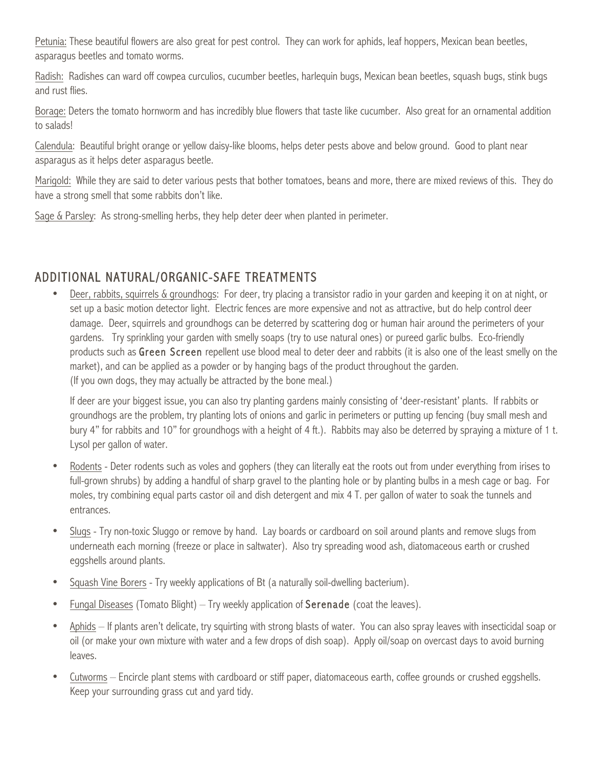Petunia: These beautiful flowers are also great for pest control. They can work for aphids, leaf hoppers, Mexican bean beetles, asparagus beetles and tomato worms.

Radish: Radishes can ward off cowpea curculios, cucumber beetles, harlequin bugs, Mexican bean beetles, squash bugs, stink bugs and rust flies.

Borage: Deters the tomato hornworm and has incredibly blue flowers that taste like cucumber. Also great for an ornamental addition to salads!

Calendula: Beautiful bright orange or yellow daisy-like blooms, helps deter pests above and below ground. Good to plant near asparagus as it helps deter asparagus beetle.

Marigold: While they are said to deter various pests that bother tomatoes, beans and more, there are mixed reviews of this. They do have a strong smell that some rabbits don't like.

Sage & Parsley: As strong-smelling herbs, they help deter deer when planted in perimeter.

## ADDITIONAL NATURAL/ORGANIC-SAFE TREATMENTS

Deer, rabbits, squirrels & groundhogs: For deer, try placing a transistor radio in your garden and keeping it on at night, or set up a basic motion detector light. Electric fences are more expensive and not as attractive, but do help control deer damage. Deer, squirrels and groundhogs can be deterred by scattering dog or human hair around the perimeters of your gardens. Try sprinkling your garden with smelly soaps (try to use natural ones) or pureed garlic bulbs. Eco-friendly products such as Green Screen repellent use blood meal to deter deer and rabbits (it is also one of the least smelly on the market), and can be applied as a powder or by hanging bags of the product throughout the garden. (If you own dogs, they may actually be attracted by the bone meal.)

If deer are your biggest issue, you can also try planting gardens mainly consisting of 'deer-resistant' plants. If rabbits or groundhogs are the problem, try planting lots of onions and garlic in perimeters or putting up fencing (buy small mesh and bury 4" for rabbits and 10" for groundhogs with a height of 4 ft.). Rabbits may also be deterred by spraying a mixture of 1 t. Lysol per gallon of water.

- Rodents Deter rodents such as voles and gophers (they can literally eat the roots out from under everything from irises to full-grown shrubs) by adding a handful of sharp gravel to the planting hole or by planting bulbs in a mesh cage or bag. For moles, try combining equal parts castor oil and dish detergent and mix 4 T. per gallon of water to soak the tunnels and entrances.
- Slugs Try non-toxic Sluggo or remove by hand. Lay boards or cardboard on soil around plants and remove slugs from underneath each morning (freeze or place in saltwater). Also try spreading wood ash, diatomaceous earth or crushed eggshells around plants.
- Squash Vine Borers Try weekly applications of Bt (a naturally soil-dwelling bacterium).
- Fungal Diseases (Tomato Blight) Try weekly application of Serenade (coat the leaves).
- Aphids If plants aren't delicate, try squirting with strong blasts of water. You can also spray leaves with insecticidal soap or oil (or make your own mixture with water and a few drops of dish soap). Apply oil/soap on overcast days to avoid burning leaves.
- Cutworms Encircle plant stems with cardboard or stiff paper, diatomaceous earth, coffee grounds or crushed eggshells. Keep your surrounding grass cut and yard tidy.